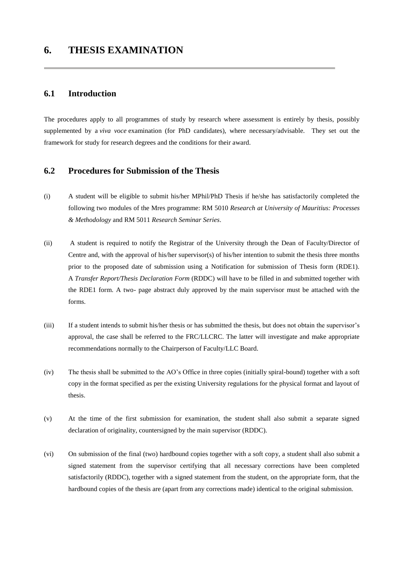# **6.1 Introduction**

The procedures apply to all programmes of study by research where assessment is entirely by thesis, possibly supplemented by a *viva voce* examination (for PhD candidates), where necessary/advisable. They set out the framework for study for research degrees and the conditions for their award.

## **6.2 Procedures for Submission of the Thesis**

- (i) A student will be eligible to submit his/her MPhil/PhD Thesis if he/she has satisfactorily completed the following two modules of the Mres programme: RM 5010 *Research at University of Mauritius: Processes & Methodology* and RM 5011 *Research Seminar Series*.
- (ii) A student is required to notify the Registrar of the University through the Dean of Faculty/Director of Centre and, with the approval of his/her supervisor(s) of his/her intention to submit the thesis three months prior to the proposed date of submission using a Notification for submission of Thesis form (RDE1). A *Transfer Report/Thesis Declaration Form* (RDDC) will have to be filled in and submitted together with the RDE1 form. A two- page abstract duly approved by the main supervisor must be attached with the forms.
- (iii) If a student intends to submit his/her thesis or has submitted the thesis, but does not obtain the supervisor's approval, the case shall be referred to the FRC/LLCRC. The latter will investigate and make appropriate recommendations normally to the Chairperson of Faculty/LLC Board.
- (iv) The thesis shall be submitted to the AO's Office in three copies (initially spiral-bound) together with a soft copy in the format specified as per the existing University regulations for the physical format and layout of thesis.
- (v) At the time of the first submission for examination, the student shall also submit a separate signed declaration of originality, countersigned by the main supervisor (RDDC).
- (vi) On submission of the final (two) hardbound copies together with a soft copy, a student shall also submit a signed statement from the supervisor certifying that all necessary corrections have been completed satisfactorily (RDDC), together with a signed statement from the student, on the appropriate form, that the hardbound copies of the thesis are (apart from any corrections made) identical to the original submission.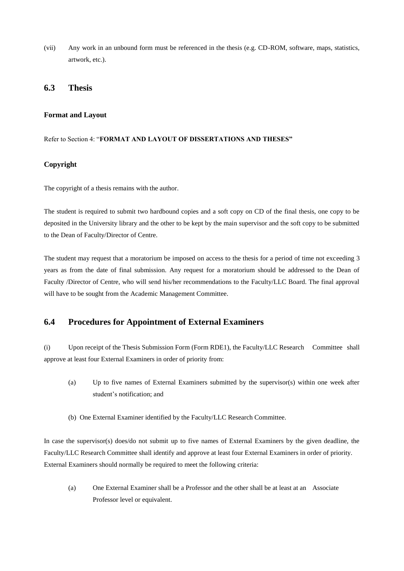(vii) Any work in an unbound form must be referenced in the thesis (e.g. CD-ROM, software, maps, statistics, artwork, etc.).

### **6.3 Thesis**

## **Format and Layout**

Refer to Section 4: "**FORMAT AND LAYOUT OF DISSERTATIONS AND THESES"**

#### **Copyright**

The copyright of a thesis remains with the author.

The student is required to submit two hardbound copies and a soft copy on CD of the final thesis, one copy to be deposited in the University library and the other to be kept by the main supervisor and the soft copy to be submitted to the Dean of Faculty/Director of Centre.

The student may request that a moratorium be imposed on access to the thesis for a period of time not exceeding 3 years as from the date of final submission. Any request for a moratorium should be addressed to the Dean of Faculty /Director of Centre, who will send his/her recommendations to the Faculty/LLC Board. The final approval will have to be sought from the Academic Management Committee.

### **6.4 Procedures for Appointment of External Examiners**

(i) Upon receipt of the Thesis Submission Form (Form RDE1), the Faculty/LLC Research Committee shall approve at least four External Examiners in order of priority from:

- (a) Up to five names of External Examiners submitted by the supervisor(s) within one week after student's notification; and
- (b) One External Examiner identified by the Faculty/LLC Research Committee.

In case the supervisor(s) does/do not submit up to five names of External Examiners by the given deadline, the Faculty/LLC Research Committee shall identify and approve at least four External Examiners in order of priority. External Examiners should normally be required to meet the following criteria:

(a) One External Examiner shall be a Professor and the other shall be at least at an Associate Professor level or equivalent.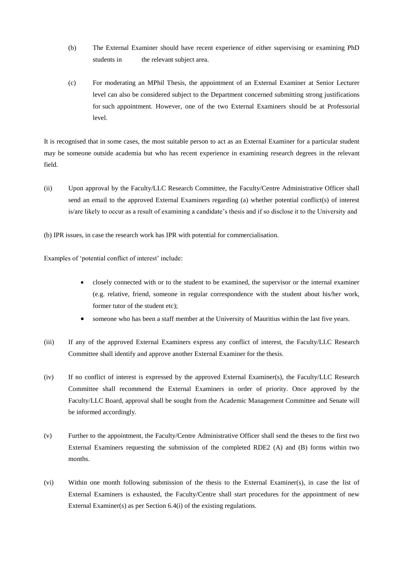- (b) The External Examiner should have recent experience of either supervising or examining PhD students in the relevant subject area.
- (c) For moderating an MPhil Thesis, the appointment of an External Examiner at Senior Lecturer level can also be considered subject to the Department concerned submitting strong justifications for such appointment. However, one of the two External Examiners should be at Professorial level.

It is recognised that in some cases, the most suitable person to act as an External Examiner for a particular student may be someone outside academia but who has recent experience in examining research degrees in the relevant field.

- (ii) Upon approval by the Faculty/LLC Research Committee, the Faculty/Centre Administrative Officer shall send an email to the approved External Examiners regarding (a) whether potential conflict(s) of interest is/are likely to occur as a result of examining a candidate's thesis and if so disclose it to the University and
- (b) IPR issues, in case the research work has IPR with potential for commercialisation.

Examples of 'potential conflict of interest' include:

- closely connected with or to the student to be examined, the supervisor or the internal examiner (e.g. relative, friend, someone in regular correspondence with the student about his/her work, former tutor of the student etc);
- someone who has been a staff member at the University of Mauritius within the last five years.
- (iii) If any of the approved External Examiners express any conflict of interest, the Faculty/LLC Research Committee shall identify and approve another External Examiner for the thesis.
- (iv) If no conflict of interest is expressed by the approved External Examiner(s), the Faculty/LLC Research Committee shall recommend the External Examiners in order of priority. Once approved by the Faculty/LLC Board, approval shall be sought from the Academic Management Committee and Senate will be informed accordingly.
- (v) Further to the appointment, the Faculty/Centre Administrative Officer shall send the theses to the first two External Examiners requesting the submission of the completed RDE2 (A) and (B) forms within two months.
- (vi) Within one month following submission of the thesis to the External Examiner(s), in case the list of External Examiners is exhausted, the Faculty/Centre shall start procedures for the appointment of new External Examiner(s) as per Section 6.4(i) of the existing regulations.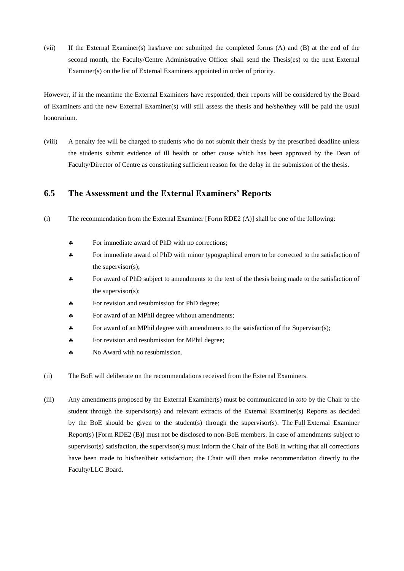(vii) If the External Examiner(s) has/have not submitted the completed forms (A) and (B) at the end of the second month, the Faculty/Centre Administrative Officer shall send the Thesis(es) to the next External Examiner(s) on the list of External Examiners appointed in order of priority.

However, if in the meantime the External Examiners have responded, their reports will be considered by the Board of Examiners and the new External Examiner(s) will still assess the thesis and he/she/they will be paid the usual honorarium.

(viii) A penalty fee will be charged to students who do not submit their thesis by the prescribed deadline unless the students submit evidence of ill health or other cause which has been approved by the Dean of Faculty/Director of Centre as constituting sufficient reason for the delay in the submission of the thesis.

### **6.5 The Assessment and the External Examiners' Reports**

- (i) The recommendation from the External Examiner [Form RDE2 (A)] shall be one of the following:
	- **\*** For immediate award of PhD with no corrections;
	- For immediate award of PhD with minor typographical errors to be corrected to the satisfaction of the supervisor(s);
	- For award of PhD subject to amendments to the text of the thesis being made to the satisfaction of the supervisor(s);
	- For revision and resubmission for PhD degree;
	- \* For award of an MPhil degree without amendments;
	- \* For award of an MPhil degree with amendments to the satisfaction of the Supervisor(s);
	- For revision and resubmission for MPhil degree;
	- No Award with no resubmission.
- (ii) The BoE will deliberate on the recommendations received from the External Examiners.
- (iii) Any amendments proposed by the External Examiner(s) must be communicated in *toto* by the Chair to the student through the supervisor(s) and relevant extracts of the External Examiner(s) Reports as decided by the BoE should be given to the student(s) through the supervisor(s). The Full External Examiner Report(s) [Form RDE2 (B)] must not be disclosed to non-BoE members. In case of amendments subject to supervisor(s) satisfaction, the supervisor(s) must inform the Chair of the BoE in writing that all corrections have been made to his/her/their satisfaction; the Chair will then make recommendation directly to the Faculty/LLC Board.